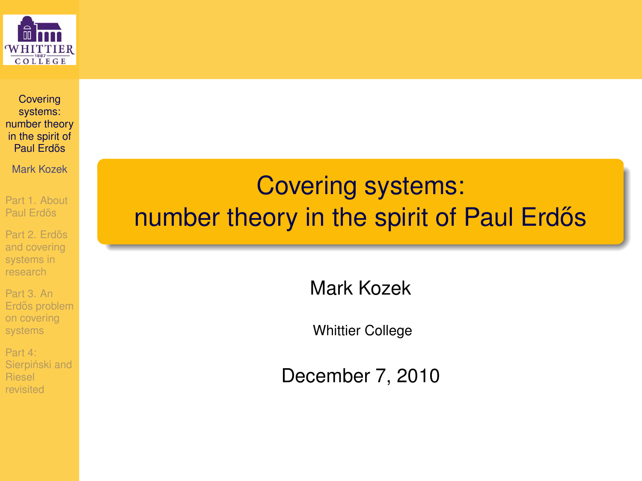

**Covering** systems: [number theory](#page-31-0) in the spirit of Paul Erdős

Mark Kozek

[Part 1. About](#page-1-0) Paul Erdős

Part 2. Erdős and covering systems in research

Part 3. An Erdős problem on covering systems

<span id="page-0-0"></span>Part 4: Sierpiński and Riesel revisited

### Covering systems: number theory in the spirit of Paul Erdős

Mark Kozek

Whittier College

December 7, 2010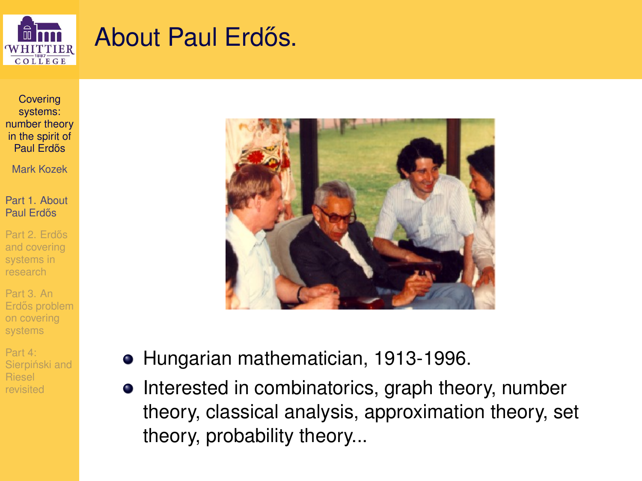

### About Paul Erdős.

**Covering** systems: [number theory](#page-0-0) in the spirit of Paul Erdős

Mark Kozek

[Part 1. About](#page-1-0) Paul Erdős

Part 2. Erdős and covering systems in research

Part 3. An Erdős problem on covering systems

<span id="page-1-0"></span>Part 4: Sierpiński and revisited



- Hungarian mathematician, 1913-1996.
- Interested in combinatorics, graph theory, number theory, classical analysis, approximation theory, set theory, probability theory...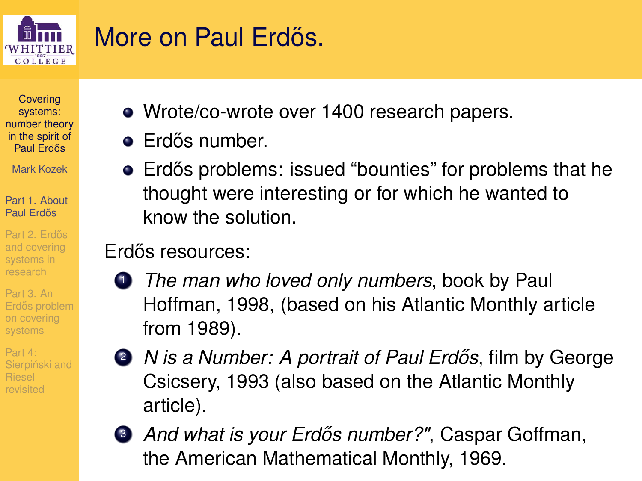

## More on Paul Erdős.

**Covering** systems: [number theory](#page-0-0) in the spirit of Paul Erdős

Mark Kozek

[Part 1. About](#page-1-0) Paul Erdős

Part 2. Erdős research

Part 3. An on covering systems

Part 4: Sierpiński and

- Wrote/co-wrote over 1400 research papers.
- $\bullet$  Erdős number.
- Erdős problems: issued "bounties" for problems that he thought were interesting or for which he wanted to know the solution.

### Erdős resources:

- <sup>1</sup> *The man who loved only numbers*, book by Paul Hoffman, 1998, (based on his Atlantic Monthly article from 1989).
- 
- **2** *N is a Number: A portrait of Paul Erdős*, film by George Csicsery, 1993 (also based on the Atlantic Monthly article).
	- **3** *And what is your Erdős number?"*, Caspar Goffman, the American Mathematical Monthly, 1969.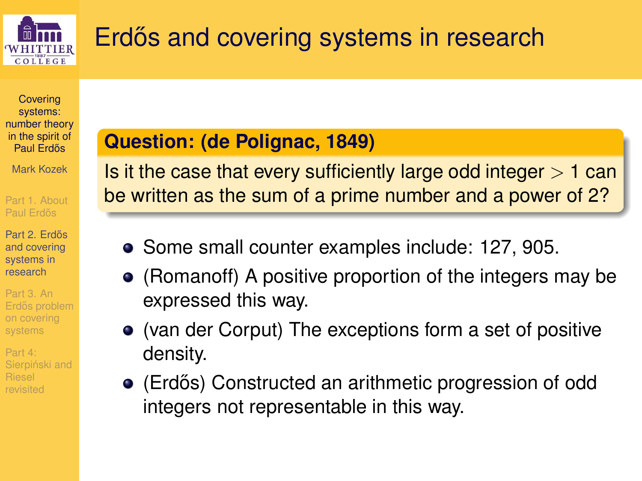

# Erdős and covering systems in research

**Covering** systems: [number theory](#page-0-0) in the spirit of Paul Erdős

Mark Kozek

[Part 1. About](#page-1-0) Paul Erdős

Part 2. Erdős and covering systems in research

Part 3. An Erdős problem on covering systems

<span id="page-3-0"></span>Part 4: Sierpiński and

#### **Question: (de Polignac, 1849)**

Is it the case that every sufficiently large odd integer  $> 1$  can be written as the sum of a prime number and a power of 2?

- Some small counter examples include: 127, 905.
- (Romanoff) A positive proportion of the integers may be expressed this way.
- (van der Corput) The exceptions form a set of positive density.
- (Erdős) Constructed an arithmetic progression of odd integers not representable in this way.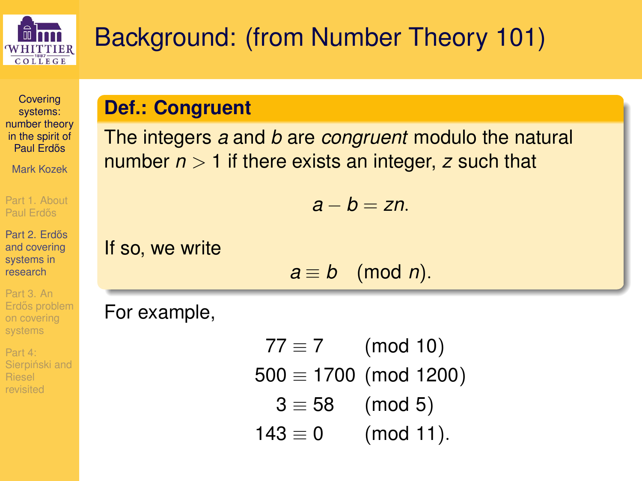

# Background: (from Number Theory 101)

**Covering** systems: [number theory](#page-0-0) in the spirit of Paul Erdős

Mark Kozek

[Part 1. About](#page-1-0) Paul Erdős

Part 2. Erdős and covering systems in research

Part 3. An Erdős problem systems

Part 4: Sierpiński and

#### **Def.: Congruent**

The integers *a* and *b* are *congruent* modulo the natural number *n* > 1 if there exists an integer, *z* such that

*a* − *b* = *zn*.

If so, we write

 $a \equiv b \pmod{n}$ .

For example,

 $77 \equiv 7$  (mod 10)  $500 \equiv 1700$  (mod 1200)  $3 \equiv 58 \pmod{5}$  $143 \equiv 0$  (mod 11).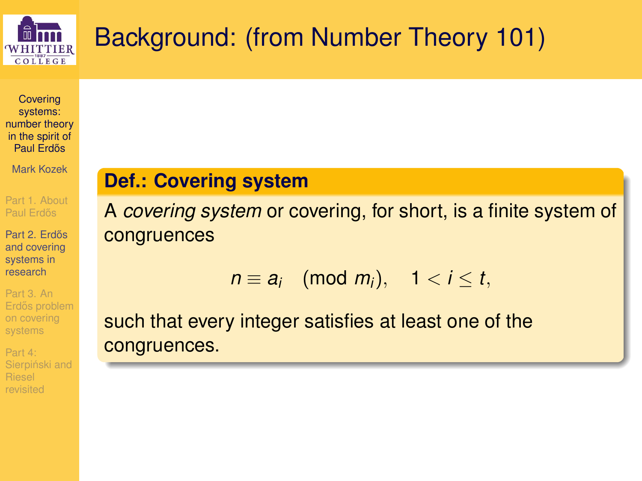

# Background: (from Number Theory 101)

**Covering** systems: [number theory](#page-0-0) in the spirit of Paul Erdős

Mark Kozek

[Part 1. About](#page-1-0) Paul Erdős

Part 2. Erdős and covering systems in research

Part 3. An Erdős problem on covering systems

Part 4: Sierpiński and revisited

#### **Def.: Covering system**

A *covering system* or covering, for short, is a finite system of congruences

$$
n \equiv a_i \pmod{m_i}, \quad 1 < i \leq t,
$$

such that every integer satisfies at least one of the congruences.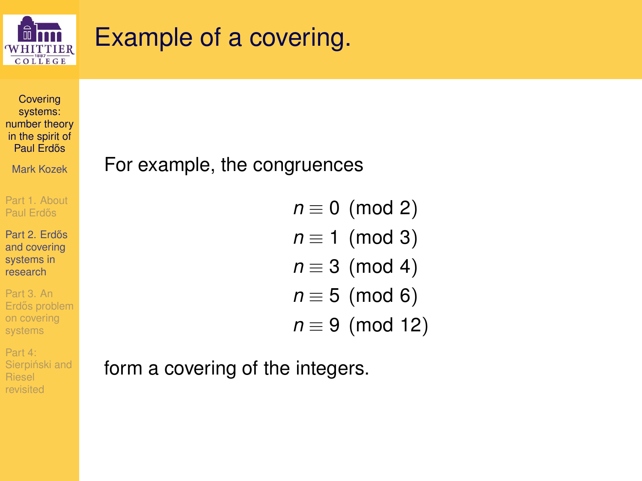

## Example of a covering.

**Covering** systems: [number theory](#page-0-0) in the spirit of Paul Erdős

Mark Kozek

[Part 1. About](#page-1-0) Paul Erdős

Part 2. Erdős and covering systems in research

Part 3. An Erdős problem on covering systems

Part 4: Sierpiński and revisited

#### For example, the congruences

 $n \equiv 0 \pmod{2}$  $n \equiv 1 \pmod{3}$  $n \equiv 3 \pmod{4}$  $n \equiv 5 \pmod{6}$ *n* ≡ 9 (mod 12)

form a covering of the integers.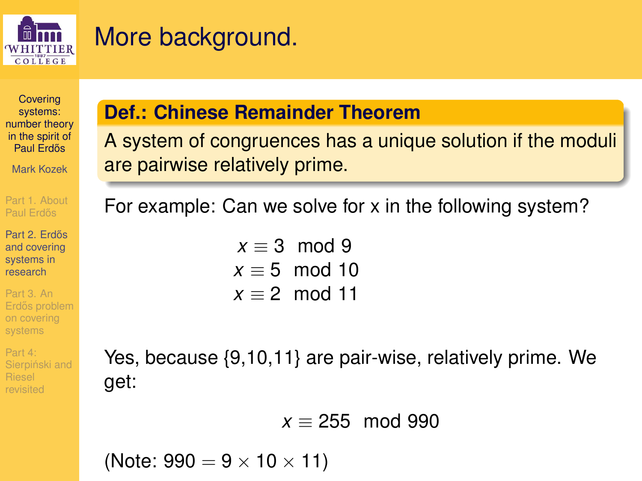

## More background.

**Covering** systems: [number theory](#page-0-0) in the spirit of Paul Erdős

Mark Kozek

[Part 1. About](#page-1-0) Paul Erdős

Part 2. Erdős and covering systems in research

Part 3. An on covering systems

Part 4: Sierpiński and

#### **Def.: Chinese Remainder Theorem**

A system of congruences has a unique solution if the moduli are pairwise relatively prime.

For example: Can we solve for x in the following system?

 $x = 3$  mod 9  $x \equiv 5 \mod 10$  $x \equiv 2 \mod 11$ 

Yes, because {9,10,11} are pair-wise, relatively prime. We get:

$$
x \equiv 255 \mod 990
$$

(Note:  $990 = 9 \times 10 \times 11$ )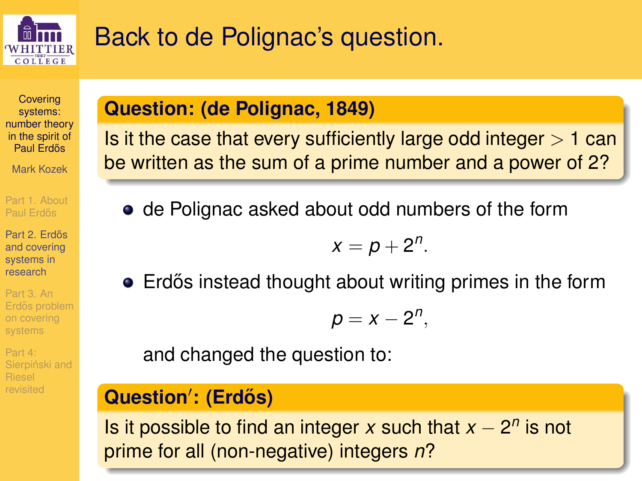

## Back to de Polignac's question.

**Covering** systems: [number theory](#page-0-0) in the spirit of Paul Erdős

Mark Kozek

[Part 1. About](#page-1-0) Paul Erdős

Part 2. Erdős and covering systems in research

Part 3. An on covering systems

Part 4: Sierpiński and

#### **Question: (de Polignac, 1849)**

Is it the case that every sufficiently large odd integer  $> 1$  can be written as the sum of a prime number and a power of 2?

• de Polignac asked about odd numbers of the form

$$
x=p+2^n.
$$

• Erdős instead thought about writing primes in the form

$$
p=x-2^n,
$$

and changed the question to:

#### $Question'$ : (Erdős)

Is it possible to find an integer  $x$  such that  $x - 2^n$  is not prime for all (non-negative) integers *n*?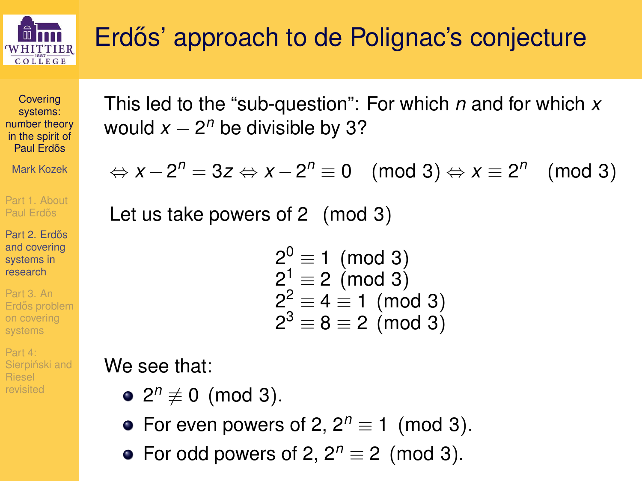

**Covering** systems: [number theory](#page-0-0) in the spirit of Paul Erdős

Mark Kozek

[Part 1. About](#page-1-0) Paul Erdős

Part 2. Erdős and covering systems in research

Part 3. An Erdős problem on covering systems

Part 4: Sierpiński and revisited

This led to the "sub-question": For which *n* and for which *x* would  $x - 2^n$  be divisible by 3?

$$
\Leftrightarrow x - 2^n = 3z \Leftrightarrow x - 2^n \equiv 0 \pmod{3} \Leftrightarrow x \equiv 2^n \pmod{3}
$$

Let us take powers of 2 (mod 3)

$$
20 \equiv 1 \pmod{3}21 \equiv 2 \pmod{3}22 \equiv 4 \equiv 1 \pmod{3}23 \equiv 8 \equiv 2 \pmod{3}
$$

We see that:

- $2^n \not\equiv 0 \pmod{3}$ .
- For even powers of 2,  $2^n \equiv 1 \pmod{3}$ .
- For odd powers of 2,  $2^n \equiv 2 \pmod{3}$ .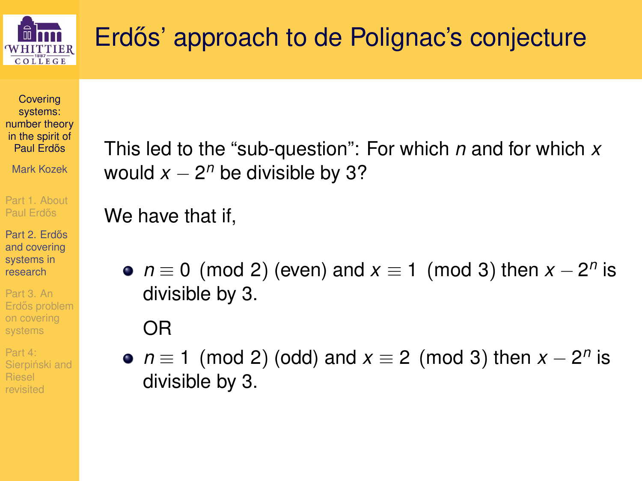

**Covering** systems: [number theory](#page-0-0) in the spirit of Paul Erdős

Mark Kozek

[Part 1. About](#page-1-0) Paul Erdős

Part 2. Erdős and covering systems in research

Part 3. An Erdős problem on covering systems

Part 4: Sierpiński and This led to the "sub-question": For which *n* and for which *x* would  $x - 2^n$  be divisible by 3?

We have that if,

 $n \equiv 0 \pmod{2}$  (even) and  $x \equiv 1 \pmod{3}$  then  $x - 2^n$  is divisible by 3.

OR

 $n \equiv 1 \pmod{2}$  (odd) and  $x \equiv 2 \pmod{3}$  then  $x - 2^n$  is divisible by 3.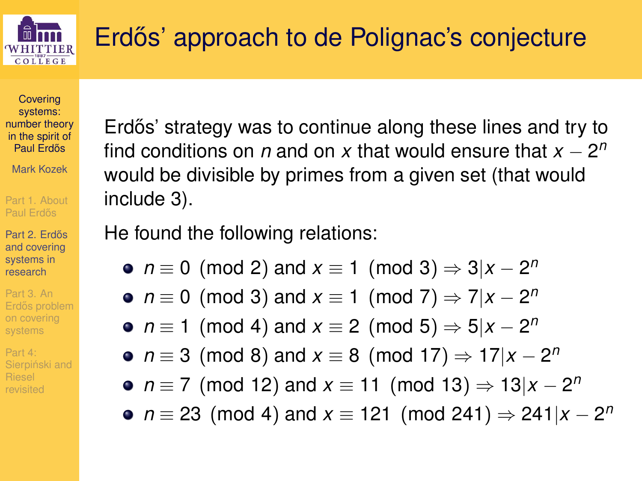

**Covering** systems: [number theory](#page-0-0) in the spirit of Paul Erdős

Mark Kozek

[Part 1. About](#page-1-0) Paul Erdős

Part 2. Erdős and covering systems in research

Part 3. An Erdős problem systems

Part 4: Sierpiński and

Erdős' strategy was to continue along these lines and try to find conditions on  $n$  and on  $x$  that would ensure that  $x - 2^n$ would be divisible by primes from a given set (that would include 3).

He found the following relations:

- $n \equiv 0 \pmod{2}$  and  $x \equiv 1 \pmod{3} \Rightarrow 3|x 2^n$
- $n \equiv 0 \pmod{3}$  and  $x \equiv 1 \pmod{7} \Rightarrow 7|x 2^n$
- $n \equiv 1 \pmod{4}$  and  $x \equiv 2 \pmod{5} \Rightarrow 5 | x 2^n$
- $n \equiv 3 \pmod{8}$  and  $x \equiv 8 \pmod{17} \Rightarrow 17|x 2^n$
- *n* ≡ 7 (mod 12) and  $x \equiv 11 \pmod{13} \Rightarrow 13|x 2^n$
- *n* ≡ 23 (mod 4) and *x* ≡ 121 (mod 241)  $\Rightarrow$  241|*x* − 2<sup>*n*</sup>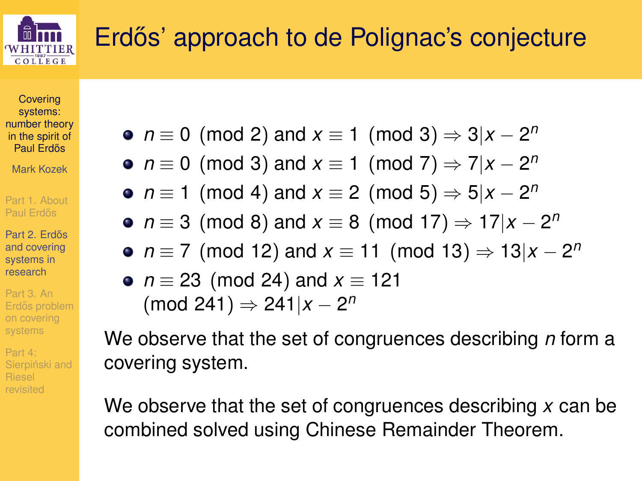

**Covering** systems: [number theory](#page-0-0) in the spirit of Paul Erdős

Mark Kozek

[Part 1. About](#page-1-0) Paul Erdős

Part 2. Erdős and covering systems in research

Part 3. An Erdős problem on covering systems

Part 4: Sierpiński and

- $n \equiv 0 \pmod{2}$  and  $x \equiv 1 \pmod{3} \Rightarrow 3|x 2^n$
- $n \equiv 0 \pmod{3}$  and  $x \equiv 1 \pmod{7} \Rightarrow 7 | x 2^n$
- $n \equiv 1 \pmod{4}$  and  $x \equiv 2 \pmod{5} \Rightarrow 5 | x 2^n$
- $n \equiv 3 \pmod{8}$  and  $x \equiv 8 \pmod{17} \Rightarrow 17|x 2^n$
- *n* ≡ 7 (mod 12) and *x* ≡ 11 (mod 13)  $\Rightarrow$  13|*x* − 2<sup>*n*</sup>
- *n* ≡ 23 (mod 24) and *x* ≡ 121 (mod 241) ⇒ 241|*x* − 2 *n*

We observe that the set of congruences describing *n* form a covering system.

We observe that the set of congruences describing *x* can be combined solved using Chinese Remainder Theorem.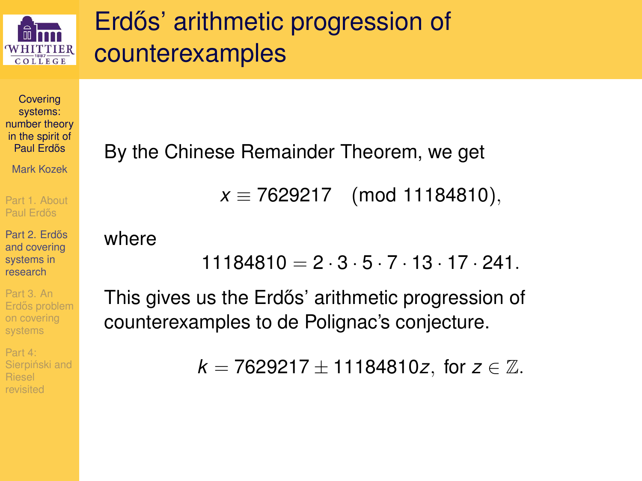

## Erdős' arithmetic progression of counterexamples

**Covering** systems: [number theory](#page-0-0) in the spirit of Paul Erdős

Mark Kozek

[Part 1. About](#page-1-0) Paul Erdős

Part 2. Erdős and covering systems in research

Part 3. An Erdős problem on covering systems

Part 4: Sierpiński and By the Chinese Remainder Theorem, we get

*x* ≡ 7629217 (mod 11184810),

where

 $11184810 = 2 \cdot 3 \cdot 5 \cdot 7 \cdot 13 \cdot 17 \cdot 241$ 

This gives us the Erdős' arithmetic progression of counterexamples to de Polignac's conjecture.

 $k = 7629217 \pm 11184810z$ , for  $z \in \mathbb{Z}$ .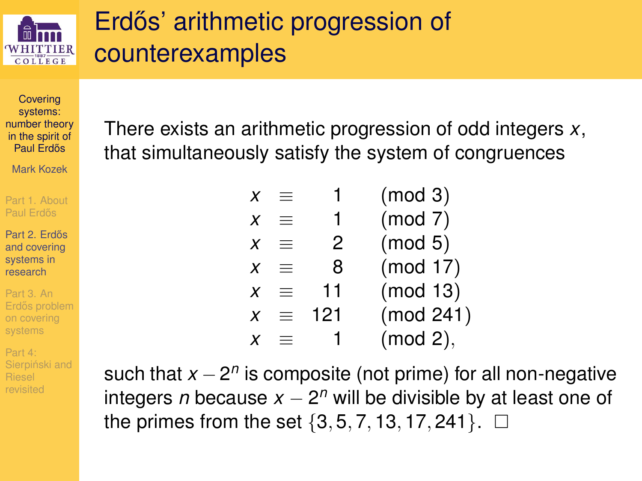

## Erdős' arithmetic progression of counterexamples

**Covering** systems: [number theory](#page-0-0) in the spirit of Paul Erdős

Mark Kozek

[Part 1. About](#page-1-0) Paul Erdős

Part 2. Erdős and covering systems in research

Part 3. An Erdős problem on covering systems

Part 4: Sierpiński and revisited

There exists an arithmetic progression of odd integers *x*, that simultaneously satisfy the system of congruences

| X |          |     | (mod 3)   |
|---|----------|-----|-----------|
| X | $=$      | 1   | (mod 7)   |
| x | $\equiv$ | 2   | (mod 5)   |
| x | $=$      | 8   | (mod 17)  |
| x | =        | 11  | (mod 13)  |
| X | $\equiv$ | 121 | (mod 241) |
|   |          |     | (mod 2),  |

such that *x* − 2<sup>n</sup> is composite (not prime) for all non-negative integers *n* because *x* − 2 *<sup>n</sup>* will be divisible by at least one of the primes from the set  $\{3, 5, 7, 13, 17, 241\}$ .  $\Box$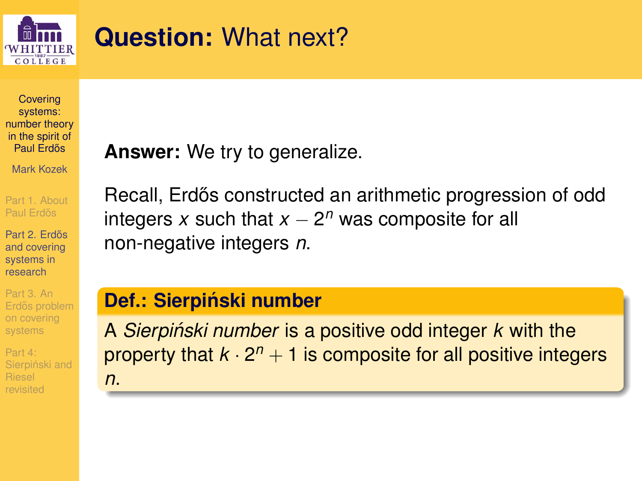

## **Question:** What next?

**Covering** systems: [number theory](#page-0-0) in the spirit of Paul Erdős

Mark Kozek

[Part 1. About](#page-1-0) Paul Erdős

Part 2. Erdős and covering systems in research

Part 3. An Erdős problem on covering systems

Part 4: Sierpiński and revisited

**Answer:** We try to generalize.

Recall, Erdős constructed an arithmetic progression of odd integers  $x$  such that  $x - 2^n$  was composite for all non-negative integers *n*.

#### **Def.: Sierpinski number ´**

A *Sierpinski number ´* is a positive odd integer *k* with the property that  $k \cdot 2^n + 1$  is composite for all positive integers *n*.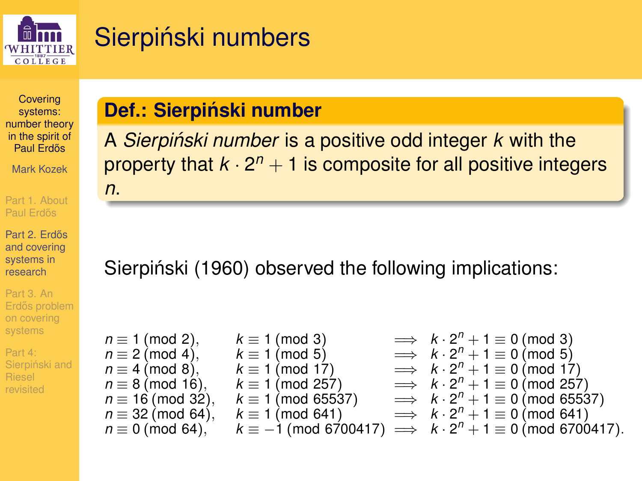

## Sierpiński numbers

**Covering** systems: [number theory](#page-0-0) in the spirit of Paul Erdős

Mark Kozek

[Part 1. About](#page-1-0) Paul Erdős

Part 2. Erdős and covering systems in research

Part 3. An Erdős problem on covering systems

Part 4: Sierpiński and revisited

#### **Def.: Sierpinski number ´**

A *Sierpinski number ´* is a positive odd integer *k* with the property that  $k \cdot 2^n + 1$  is composite for all positive integers *n*.

Sierpiński (1960) observed the following implications:

 $n \equiv 1 \pmod{2}$ ,  $k \equiv 1 \pmod{3}$ <br> $n \equiv 2 \pmod{4}$ ,  $k \equiv 1 \pmod{5}$  $\implies k \cdot 2^n + 1 \equiv 0 \pmod{3}$  $n \equiv 2 \pmod{4}$ , *n* ≡ 4 (mod 8).  $\implies k \cdot 2^n + 1 \equiv 0 \pmod{5}$  $n \equiv 4 \pmod{8}, \quad k \equiv 1 \pmod{17},$ <br> *n*  $\equiv 8 \pmod{16}, \quad k \equiv 1 \pmod{25}$  $\implies k \cdot 2^n + 1 \equiv 0 \pmod{17}$  $n \equiv 8 \pmod{16}$ ,  $k \equiv 1 \pmod{257}$ <br> $n \equiv 16 \pmod{32}$ ,  $k \equiv 1 \pmod{6553}$  $\implies k \cdot 2^n + 1 \equiv 0 \pmod{257}$  $k \equiv 1 \pmod{65537}$ <br> $k \equiv 1 \pmod{641}$  $\implies k \cdot 2^n + 1 \equiv 0 \pmod{65537}$  $n \equiv 32 \pmod{64}, n \equiv 0 \pmod{64}.$  $\implies k \cdot 2^n + 1 \equiv 0 \pmod{641}$  $k \equiv -1 \pmod{6700417}$  $\implies k \cdot 2^n + 1 \equiv 0 \pmod{6700417}$ .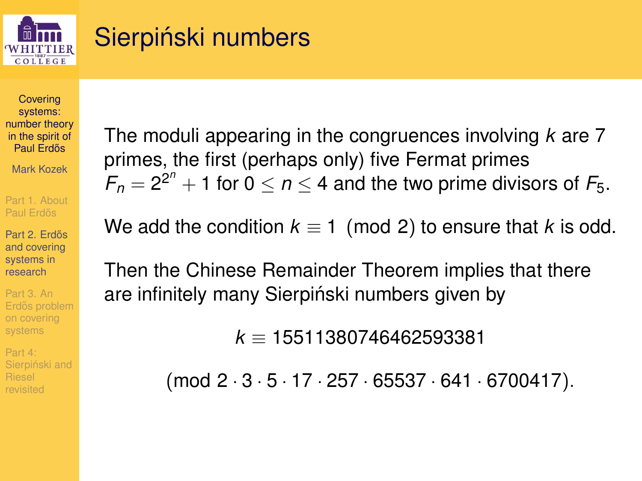

## Sierpiński numbers

**Covering** systems: [number theory](#page-0-0) in the spirit of Paul Erdős

Mark Kozek

[Part 1. About](#page-1-0) Paul Erdős

Part 2. Erdős and covering systems in research

Part 3. An Erdős problem on covering systems

Part 4: Sierpiński and The moduli appearing in the congruences involving *k* are 7 primes, the first (perhaps only) five Fermat primes  $F_n = 2^{2^n} + 1$  for  $0 \le n \le 4$  and the two prime divisors of  $F_5$ .

We add the condition  $k \equiv 1 \pmod{2}$  to ensure that k is odd.

Then the Chinese Remainder Theorem implies that there are infinitely many Sierpiński numbers given by

*k* ≡ 15511380746462593381

(mod 2 · 3 · 5 · 17 · 257 · 65537 · 641 · 6700417).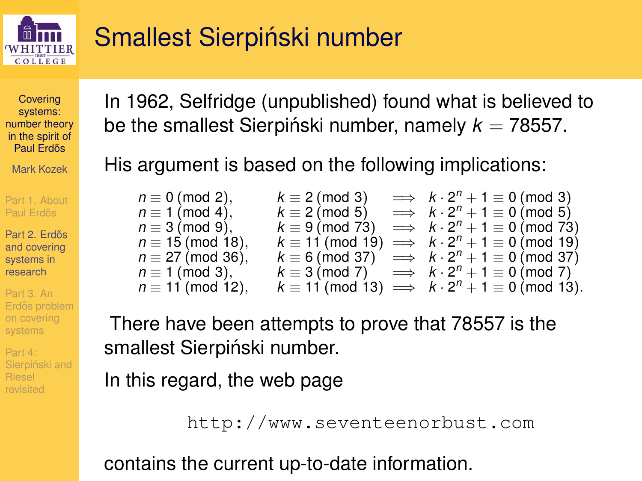

## Smallest Sierpiński number

**Covering** systems: [number theory](#page-0-0) in the spirit of Paul Erdős

Mark Kozek

[Part 1. About](#page-1-0) Paul Erdős

Part 2. Erdős and covering systems in research

Part 3. An Erdős problem on covering systems

Part 4: Sierpiński and

In 1962, Selfridge (unpublished) found what is believed to be the smallest Sierpiński number, namely  $k = 78557$ .

His argument is based on the following implications:

| $n \equiv 0 \pmod{2}$ ,   | $k \equiv 2 \pmod{3}$  | $\implies k \cdot 2^n + 1 \equiv 0 \pmod{3}$                           |
|---------------------------|------------------------|------------------------------------------------------------------------|
| $n \equiv 1 \pmod{4}$ ,   | $k \equiv 2 \pmod{5}$  | $\implies k \cdot 2^n + 1 \equiv 0 \pmod{5}$                           |
| $n \equiv 3 \pmod{9}$ ,   | $k \equiv 9 \pmod{73}$ | $\implies k \cdot 2^n + 1 \equiv 0 \pmod{73}$                          |
| $n \equiv 15 \pmod{18}$ , |                        | $k \equiv 11 \pmod{19} \implies k \cdot 2^{11} + 1 \equiv 0 \pmod{19}$ |
| $n \equiv 27 \pmod{36}$ , |                        | $k \equiv 6 \pmod{37} \implies k \cdot 2^{11} + 1 \equiv 0 \pmod{37}$  |
| $n \equiv 1 \pmod{3}$ ,   |                        | $k \equiv 3 \pmod{7} \implies k \cdot 2^{11} + 1 \equiv 0 \pmod{7}$    |
| $n \equiv 11 \pmod{12}$ , |                        | $k \equiv 11 \pmod{13} \implies k \cdot 2^n + 1 \equiv 0 \pmod{13}$ .  |

There have been attempts to prove that 78557 is the smallest Sierpiński number.

In this regard, the web page

http://www.seventeenorbust.com

contains the current up-to-date information.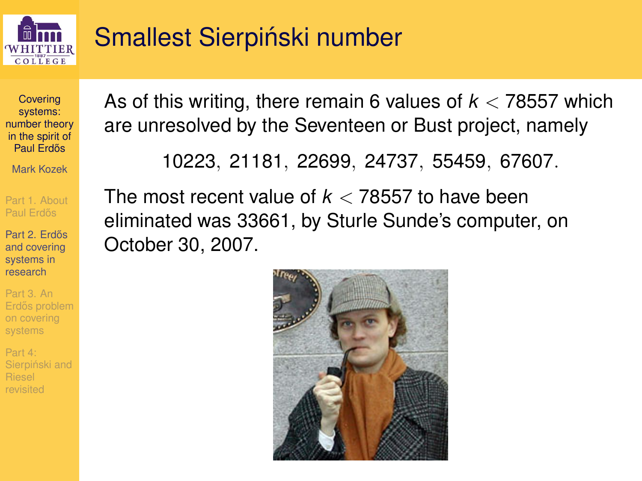

## Smallest Sierpiński number

**Covering** systems: [number theory](#page-0-0) in the spirit of Paul Erdős

Mark Kozek

[Part 1. About](#page-1-0) Paul Erdős

Part 2. Erdős and covering systems in research

Part 3. An Erdős problem on covering systems

Part 4: Sierpiński and As of this writing, there remain 6 values of *k* < 78557 which are unresolved by the Seventeen or Bust project, namely

10223, 21181, 22699, 24737, 55459, 67607.

The most recent value of *k* < 78557 to have been eliminated was 33661, by Sturle Sunde's computer, on October 30, 2007.

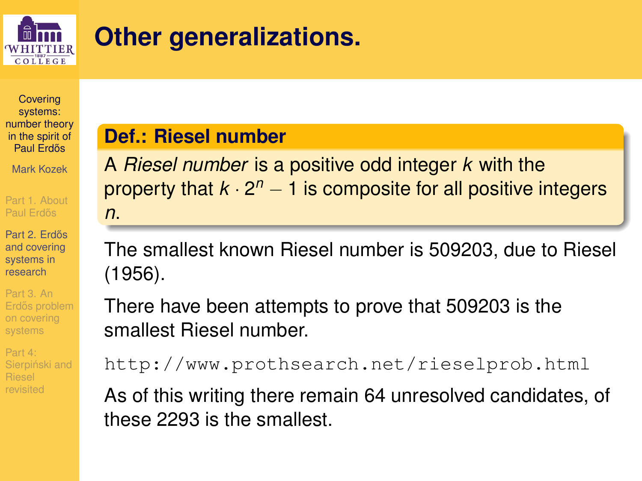

## **Other generalizations.**

**Covering** systems: [number theory](#page-0-0) in the spirit of Paul Erdős

Mark Kozek

[Part 1. About](#page-1-0) Paul Erdős

Part 2. Erdős and covering systems in research

Part 3. An Erdős problem on covering systems

Part 4: Sierpiński and revisited

**Def.: Riesel number**

A *Riesel number* is a positive odd integer *k* with the property that *k* ⋅ 2<sup>n</sup> − 1 is composite for all positive integers *n*.

The smallest known Riesel number is 509203, due to Riesel (1956).

There have been attempts to prove that 509203 is the smallest Riesel number.

http://www.prothsearch.net/rieselprob.html

As of this writing there remain 64 unresolved candidates, of these 2293 is the smallest.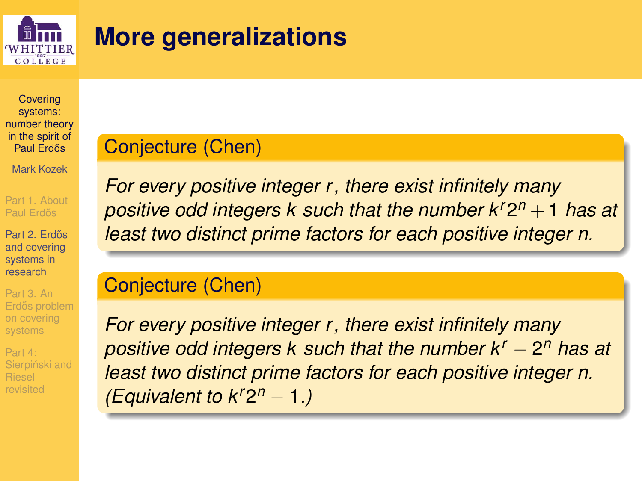

## **More generalizations**

**Covering** systems: [number theory](#page-0-0) in the spirit of Paul Erdős

Mark Kozek

[Part 1. About](#page-1-0) Paul Erdős

Part 2. Erdős and covering systems in research

Part 3. An Erdős problem on covering systems

Part 4: Sierpiński and Riesel

#### Conjecture (Chen)

<span id="page-21-0"></span>*For every positive integer r, there exist infinitely many positive odd integers k such that the number kr*2 *<sup>n</sup>* + 1 *has at least two distinct prime factors for each positive integer n.*

#### Conjecture (Chen)

<span id="page-21-1"></span>*For every positive integer r, there exist infinitely many positive odd integers k such that the number k<sup>r</sup>* − 2 *<sup>n</sup> has at least two distinct prime factors for each positive integer n. (Equivalent to kr*2 *<sup>n</sup>* − 1*.)*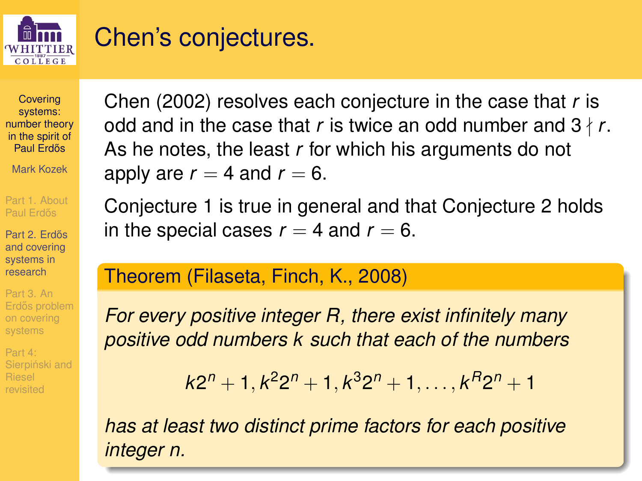

### Chen's conjectures.

**Covering** systems: [number theory](#page-0-0) in the spirit of Paul Erdős

Mark Kozek

[Part 1. About](#page-1-0) Paul Erdős

Part 2. Erdős and covering systems in research

Part 3. An Erdős problem on covering systems

Part 4: Sierpiński and Chen (2002) resolves each conjecture in the case that *r* is odd and in the case that *r* is twice an odd number and  $3 \nmid r$ . As he notes, the least *r* for which his arguments do not apply are  $r = 4$  and  $r = 6$ .

Conjecture [1](#page-21-0) is true in general and that Conjecture [2](#page-21-1) holds in the special cases  $r = 4$  and  $r = 6$ .

#### Theorem (Filaseta, Finch, K., 2008)

*For every positive integer R, there exist infinitely many positive odd numbers k such that each of the numbers*

 $k2^{n} + 1, k^{2}2^{n} + 1, k^{3}2^{n} + 1, \ldots, k^{R}2^{n} + 1$ 

*has at least two distinct prime factors for each positive integer n.*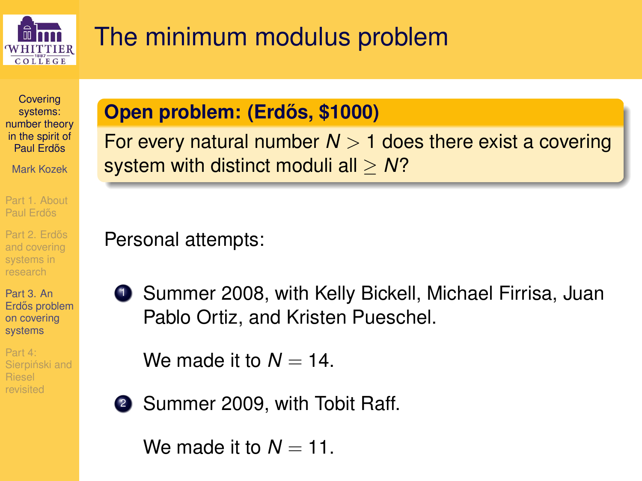

## The minimum modulus problem

**Covering** systems: [number theory](#page-0-0) in the spirit of Paul Erdős

Mark Kozek

[Part 1. About](#page-1-0) Paul Erdős

Part 2. Erdős and covering systems in

Part 3. An Erdős problem on covering systems

<span id="page-23-0"></span>Part 4: Sierpiński and

### **Open problem: (Erdős, \$1000)**

For every natural number  $N > 1$  does there exist a covering system with distinct moduli all ≥ *N*?

Personal attempts:

**1** Summer 2008, with Kelly Bickell, Michael Firrisa, Juan Pablo Ortiz, and Kristen Pueschel.

We made it to  $N = 14$ .

2 Summer 2009, with Tobit Raff.

We made it to  $N = 11$ .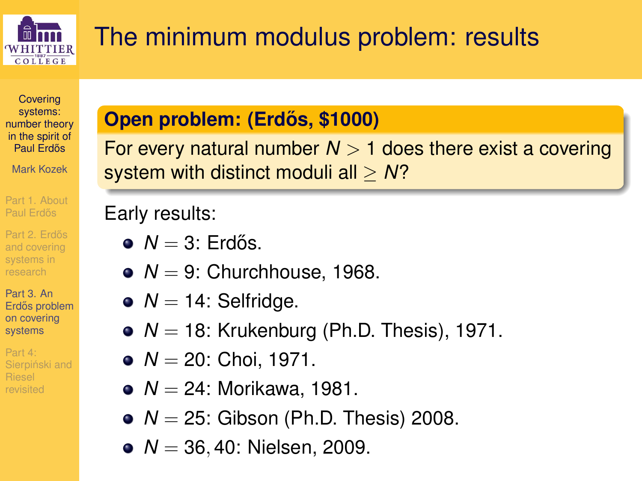

# The minimum modulus problem: results

**Covering** systems: [number theory](#page-0-0) in the spirit of Paul Erdős

Mark Kozek

[Part 1. About](#page-1-0) Paul Erdős

Part 2. Erdős and covering systems in

Part 3. An Erdős problem on covering systems

Part 4: Sierpiński and revisited

#### **Open problem: (Erdos, \$1000) ˝**

For every natural number  $N > 1$  does there exist a covering system with distinct moduli all ≥ *N*?

### Early results:

- $\bullet$  *N* = 3: Erdős.
- $\bullet$  *N* = 9: Churchhouse, 1968.
- $\bullet$   $N = 14$ : Selfridge.
- $\bullet$   $N = 18$ : Krukenburg (Ph.D. Thesis), 1971.
- $\bullet$   $N = 20$ : Choi, 1971.
- *N* = 24: Morikawa, 1981.
- $\bullet$   $N = 25$ : Gibson (Ph.D. Thesis) 2008.
- *N* = 36,40: Nielsen, 2009.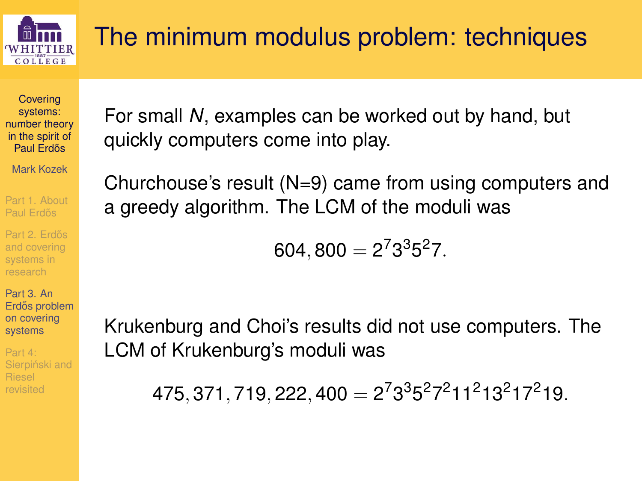

# The minimum modulus problem: techniques

**Covering** systems: [number theory](#page-0-0) in the spirit of Paul Erdős

Mark Kozek

[Part 1. About](#page-1-0) Paul Erdős

Part 2. Erdős

Part 3. An Erdős problem on covering systems

Part 4: Sierpiński and

For small *N*, examples can be worked out by hand, but quickly computers come into play.

Churchouse's result (N=9) came from using computers and a greedy algorithm. The LCM of the moduli was

$$
604,800=2^73^35^27.\\
$$

Krukenburg and Choi's results did not use computers. The LCM of Krukenburg's moduli was

 $475, 371, 719, 222, 400 = 2<sup>7</sup>3<sup>3</sup>5<sup>2</sup>7<sup>2</sup>11<sup>2</sup>13<sup>2</sup>17<sup>2</sup>19.$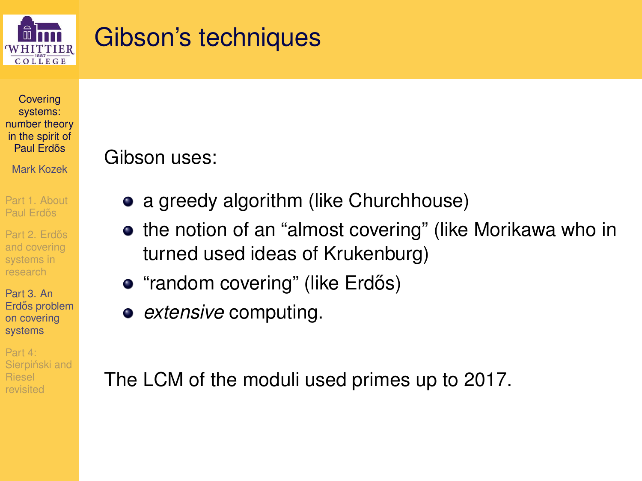

### Gibson's techniques

**Covering** systems: [number theory](#page-0-0) in the spirit of Paul Erdős

Mark Kozek

[Part 1. About](#page-1-0) Paul Erdős

Part 2. Erdős and covering systems in

Part 3. An Erdős problem on covering systems

Part 4: Sierpiński and

#### Gibson uses:

- a greedy algorithm (like Churchhouse)
- **•** the notion of an "almost covering" (like Morikawa who in turned used ideas of Krukenburg)
- "random covering" (like Erdős)
- *extensive* computing.

The LCM of the moduli used primes up to 2017.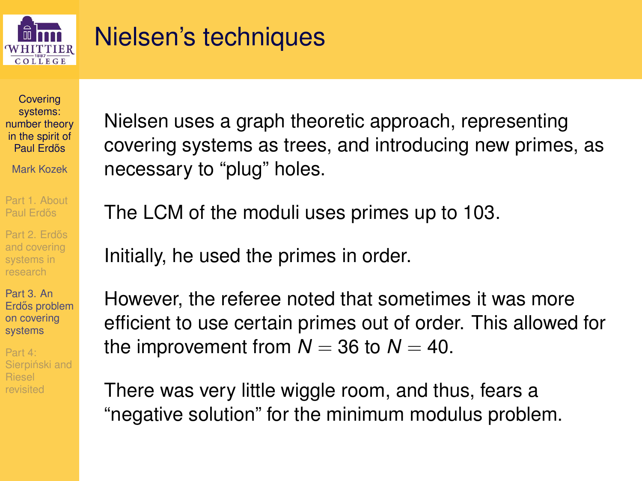

## Nielsen's techniques

**Covering** systems: [number theory](#page-0-0) in the spirit of Paul Erdős

Mark Kozek

[Part 1. About](#page-1-0) Paul Erdős

Part 2. Erdős research

Part 3. An Erdős problem on covering systems

Part 4: Sierpiński and revisited

Nielsen uses a graph theoretic approach, representing covering systems as trees, and introducing new primes, as necessary to "plug" holes.

The LCM of the moduli uses primes up to 103.

Initially, he used the primes in order.

However, the referee noted that sometimes it was more efficient to use certain primes out of order. This allowed for the improvement from  $N = 36$  to  $N = 40$ .

There was very little wiggle room, and thus, fears a "negative solution" for the minimum modulus problem.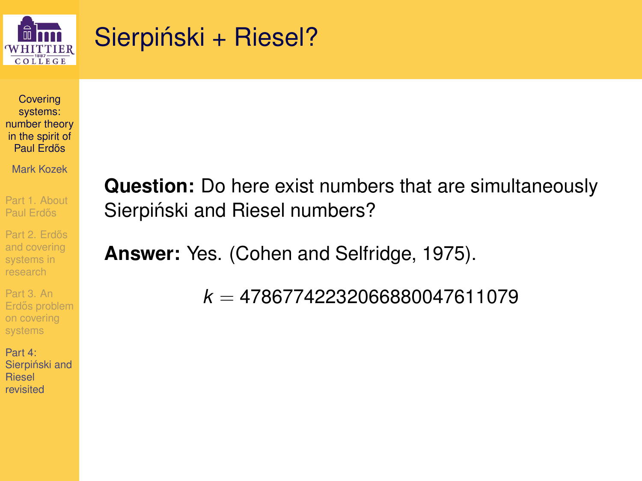

### Sierpiński + Riesel?

**Covering** systems: [number theory](#page-0-0) in the spirit of Paul Erdős

Mark Kozek

[Part 1. About](#page-1-0) Paul Erdős

Part 2. Erdős and covering systems in research

Part 3. An Erdős problem on covering systems

<span id="page-28-0"></span>Part 4: Sierpiński and Riesel revisited

**Question:** Do here exist numbers that are simultaneously Sierpiński and Riesel numbers?

**Answer:** Yes. (Cohen and Selfridge, 1975).

*k* = 47867742232066880047611079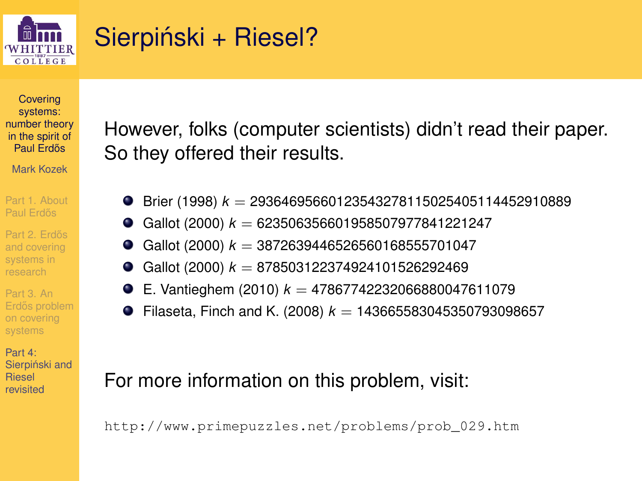

## Sierpiński + Riesel?

**Covering** systems: [number theory](#page-0-0) in the spirit of Paul Erdős

Mark Kozek

[Part 1. About](#page-1-0)

Part 2. Erdős systems in research

Part 3. An Erdős problem on covering systems

Part 4: Sierpiński and Riesel revisited

However, folks (computer scientists) didn't read their paper. So they offered their results.

- Brier (1998) *k* = 29364695660123543278115025405114452910889 0.
- Gallot (2000) *k* = 623506356601958507977841221247  $\bullet$
- Gallot (2000) *k* = 3872639446526560168555701047
- ٠ Gallot (2000) *k* = 878503122374924101526292469
- E. Vantieghem (2010)  $k = 47867742232066880047611079$ ۰
- Filaseta, Finch and K. (2008)  $k = 143665583045350793098657$ ۰

#### For more information on this problem, visit:

http://www.primepuzzles.net/problems/prob\_029.htm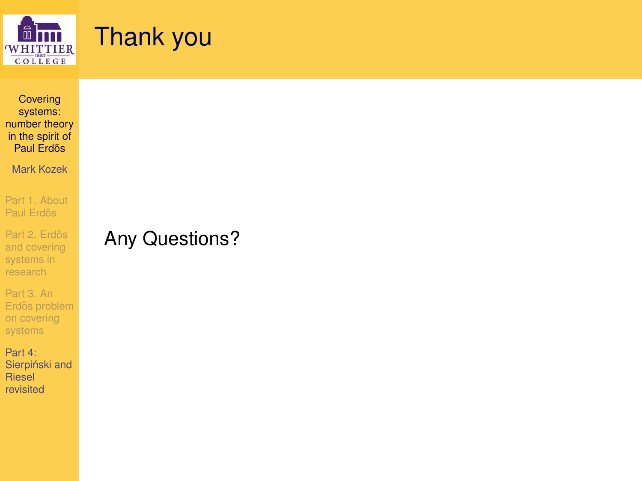

### Thank you

**Covering** systems: [number theory](#page-0-0) in the spirit of Paul Erdős

Mark Kozek

[Part 1. About](#page-1-0) Paul Erdős

Part 2. Erdős and covering systems in research

Part 3. An Erdős problem on covering systems

Part 4: Sierpiński and Riesel revisited

#### Any Questions?